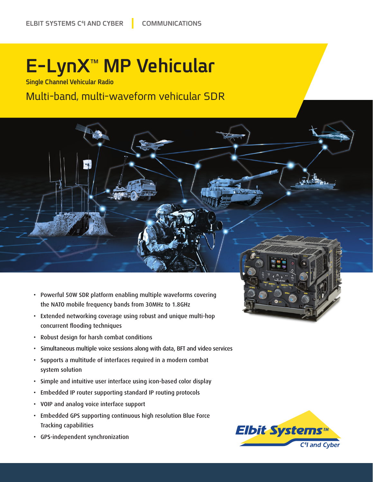## **E-LynX<sup>™</sup> MP Vehicular**

**Single Channel Vehicular Radio** 

Multi-band, multi-waveform vehicular SDR



- Extended networking coverage using robust and unique multi-hop concurrent flooding techniques
- Robust design for harsh combat conditions
- Simultaneous multiple voice sessions along with data, BFT and video services
- Supports a multitude of interfaces required in a modern combat system solution
- Simple and intuitive user interface using icon-based color display
- Embedded IP router supporting standard IP routing protocols
- VOIP and analog voice interface support
- Embedded GPS supporting continuous high resolution Blue Force Tracking capabilities
- GPS-independent synchronization